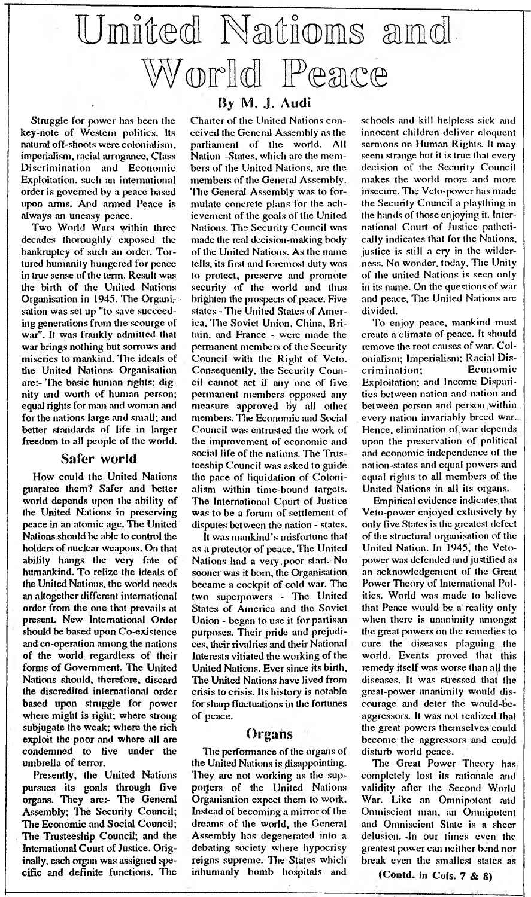## **United Nations and. World Peace**

Struggle for power has been the key-note of Western politics. Its natural off-shoots were colonialism, imperialism, racial arrogance. Class Discrimination and Economic order is governed by a peace based upon arms. And armed Peace is always an uneasy peace.

Two World Wars within three decades thoroughly exposed the bankruptcy of such an order. Tortured humanity hungered for peace in true sense of the term. Result was the birth of the United Nations Organisation in 1945. The Organisation was set up "to save succeeding generations from the scourge of war". It was frankly admitted that war brings nothing but sorrows and miseries to mankind. The ideals of the United Nations Organisation are:- The basic human rights; dignity and worth of human person: equal rights for man and woman and for the nations large and small; and better standards of life in larger freedom to all people of the world.

### **Safer world**

How could the United Nations guaratee them? Safer and better world depends upon the ability of the United Nations in preserving peace in an atomic age. The United' Nations should be able to control the holders of nuclear weapons. On that ability hangs the very fate of humankind. To relize the ideals of the United Nations, the world needs an altogether different international order from the one that prevails at present. New International Order should be based upon Co-existence and co-operation among the nations of the world, regardless of their forms of Government. The United Nations should, therefore, discard the discredited international order based upon struggle for power where might is right; where strong subjugate the weak; where the rich exploit the poor and where all are condemned to live under the umbrella of terror.

Presently, the United Nations pursues its goals through five organs. They are:- The General Assembly; The Security Council; The Economic and Social Council; The Trusteeship Council; and the International Court of Justice. Originally, each organ was assigned specific and definite functions, The

### **By M. J. Audi**

Charter of the United Nations conceived the General Assembly as the parliament of the world. All Nation -States, which arc the members of the United Nations, arc the members of the General Assembly. The General Assembly was to formulate concrete plans for the achievement of the goals of the United Nations. The Security Council was made the real decision-making body of the United Nations. As the name tells, its first and foremost duty was to protect, preserve and promote security of the world and thus<br>brighten the prospects of peace. Five states - The United States of Amer-<br>ica, The Soviet Union, China, Britain, and France - were made the permanent members of the Security Council with the Right of Veto. Consequently, the Security Council cannot act if any one of five permanent members ppposed any measure approved by all other members. The Economic, and Social Council was entrusted the work of the improvement of economic and social life of the nations. The Trusteeship Council was asked to guide the pace of liquidation of Colonialism within time-bound targets. The International Court of Justice was to be a forum of settlement of disputes between the nation - states. It was mankind's misfortune that

as a protector of peace. The United Nations had a very .poor start. No . sooner was it bom, the Organisation, became a cockpit of cold war. The two superpowers - The United Stales of America and the Soviet Union - began to use it for partisan purposes. Their pride and prejudices, their rivalries and their National Interests vitiated the working of the United Nations. Ever since its birth. The United Nations have lived from crisis to crisis. Its history is notable for sharp fluctuations in the fortunes of peace.

### **Organs**

Tlie performance of the organs of the United Nations is disappointing. They are not working as the supporters of the United Nations Organisation expect them to work. Instead of becoming a mirror of the dreams of the world, the General Assembly has degenerated into a debating society where hypocrisy reigns supreme. The States which inhumanly bomb hospitals and

schools and kill helpless sick and innocent children deliver eloquent sermons on Human Rights. It may seem strange but it is true that every decision of the Security Council makes the world more and more insecure. The Veto-powcr has made the Security Council a plaything in the hands of those enjoying it. International Court of Justice pathetically indicates that for the Nations, justice is still a cry in the wilderness. No wonder, today. The Unity of the united Nations is seen only in its name. On the questions of war and peace. The United Nations are

divided. To enjoy peace, mankind must create a climate of peace. It should remove the root causes of war. Colonialism; Imperialism; Racial Discrim ination; Econom ic Exploitation; and Income Disparities between nation and nation and between person and person, within.<br>every nation invariably breed war. Hence, elimination.of.war depends.. upon the preservation of political and economic independence of the nation-states and equal powers and equal rights to all members of the United Nations in all its organs.

Empirical evidence indicates, that Veto-power enjoyed exlusively by only five States is the greatest defect of the structural organisation of the United Nation. In 1945; the Vetopower was defended and justified as an acknowledgement of the Great Power Theory of International Politics. World was made to believe that Peace would be a reality only when there is unanimity amongst the great powers on the remedies to cure the diseases plaguing ,the world. Events proved that this remedy itself was worse than all the diseases. It was stressed that the grcat-power unanimity would discourage and deter the would-beaggressors. It was not realized that the great powers themselves could become the aggressors and could disturb world peace.

The Great Power Theory has/ completely lost its rationale and validity after the Second World War. Like an Omnipotent aild Omniscient man, an Omnipotent and Omniscient State is a sheer delusion. .In our times even the greatest power can neither bend nor break even the smallest states as

(Contd. in Cols. 7 & 8)